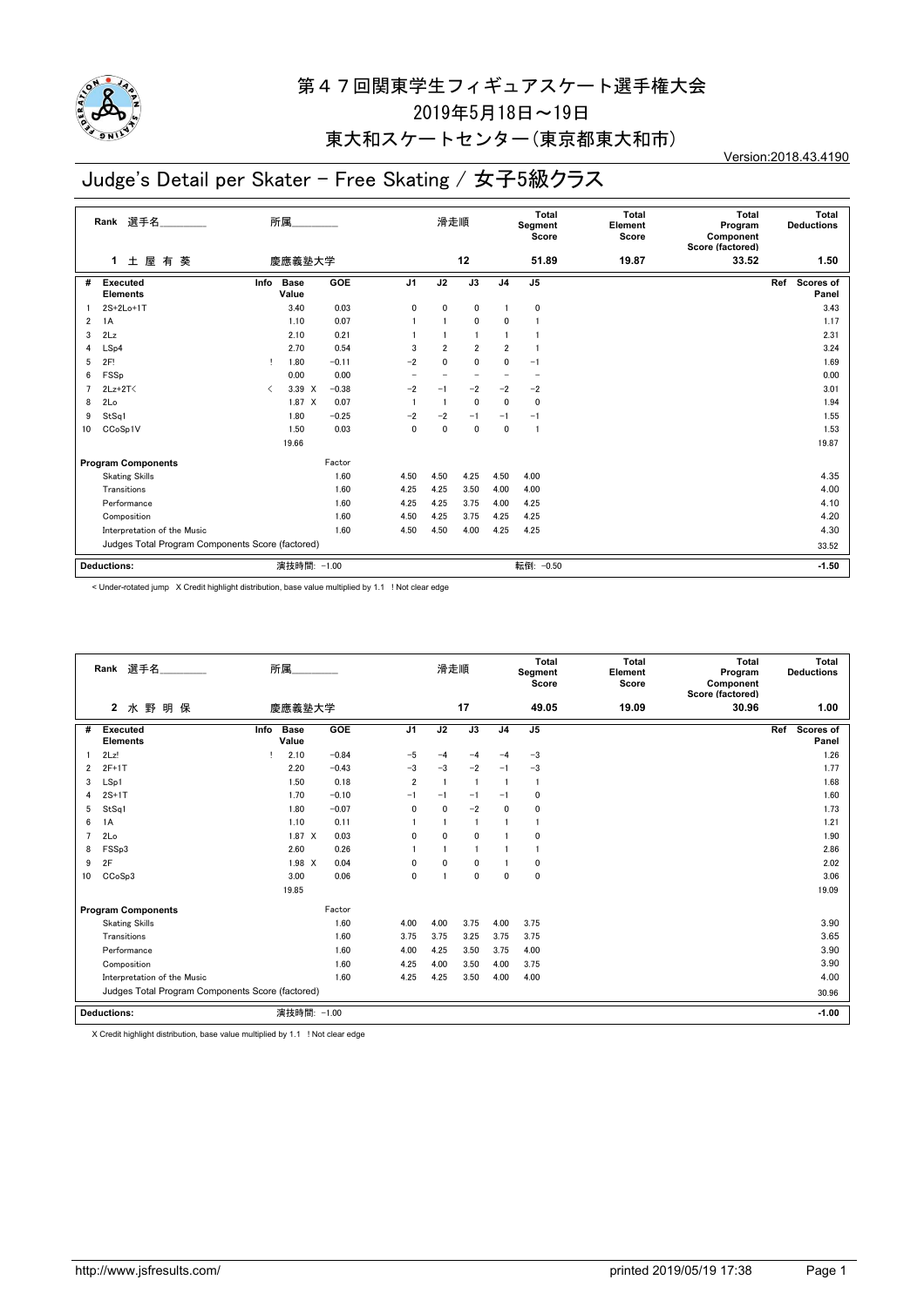

# 東大和スケートセンター(東京都東大和市)

# Judge's Detail per Skater - Free Skating / 女子5級クラス

Version:2018.43.4190

|                | 選手名<br>Rank                                      |           | 所属                   |            |                | 滑走順            |                |                | <b>Total</b><br>Segment<br>Score | <b>Total</b><br>Element<br>Score | Total<br>Program<br>Component<br>Score (factored) | Total<br><b>Deductions</b>       |
|----------------|--------------------------------------------------|-----------|----------------------|------------|----------------|----------------|----------------|----------------|----------------------------------|----------------------------------|---------------------------------------------------|----------------------------------|
|                | 土屋有葵<br>1                                        |           | 慶應義塾大学               |            |                |                | 12             |                | 51.89                            | 19.87                            | 33.52                                             | 1.50                             |
| #              | <b>Executed</b><br><b>Elements</b>               | Info      | <b>Base</b><br>Value | <b>GOE</b> | J <sub>1</sub> | J2             | J3             | J <sub>4</sub> | J <sub>5</sub>                   |                                  |                                                   | <b>Scores of</b><br>Ref<br>Panel |
|                | 2S+2Lo+1T                                        |           | 3.40                 | 0.03       | 0              | 0              | 0              |                | 0                                |                                  |                                                   | 3.43                             |
| $\overline{2}$ | 1A                                               |           | 1.10                 | 0.07       |                |                | $\mathbf{0}$   | 0              |                                  |                                  |                                                   | 1.17                             |
| 3              | 2Lz                                              |           | 2.10                 | 0.21       |                |                |                |                |                                  |                                  |                                                   | 2.31                             |
| 4              | LSp4                                             |           | 2.70                 | 0.54       | 3              | $\overline{2}$ | $\overline{2}$ | $\overline{2}$ |                                  |                                  |                                                   | 3.24                             |
| 5              | 2F!                                              |           | 1.80                 | $-0.11$    | $-2$           | $\Omega$       | $\mathbf{0}$   | $\Omega$       | $-1$                             |                                  |                                                   | 1.69                             |
| 6              | FSSp                                             |           | 0.00                 | 0.00       |                |                |                |                |                                  |                                  |                                                   | 0.00                             |
| $\overline{7}$ | $2Lz+2T<$                                        | $\langle$ | 3.39 X               | $-0.38$    | $-2$           | $-1$           | -2             | $-2$           | $-2$                             |                                  |                                                   | 3.01                             |
| 8              | 2Lo                                              |           | 1.87 X               | 0.07       |                | -1             | $\mathbf 0$    | 0              | 0                                |                                  |                                                   | 1.94                             |
| 9              | StSq1                                            |           | 1.80                 | $-0.25$    | $-2$           | $-2$           | $-1$           | $-1$           | $-1$                             |                                  |                                                   | 1.55                             |
| 10             | CCoSp1V                                          |           | 1.50                 | 0.03       | 0              | 0              | $\mathbf{0}$   | $\mathbf{0}$   | -1                               |                                  |                                                   | 1.53                             |
|                |                                                  |           | 19.66                |            |                |                |                |                |                                  |                                  |                                                   | 19.87                            |
|                | <b>Program Components</b>                        |           |                      | Factor     |                |                |                |                |                                  |                                  |                                                   |                                  |
|                | <b>Skating Skills</b>                            |           |                      | 1.60       | 4.50           | 4.50           | 4.25           | 4.50           | 4.00                             |                                  |                                                   | 4.35                             |
|                | Transitions                                      |           |                      | 1.60       | 4.25           | 4.25           | 3.50           | 4.00           | 4.00                             |                                  |                                                   | 4.00                             |
|                | Performance                                      |           |                      | 1.60       | 4.25           | 4.25           | 3.75           | 4.00           | 4.25                             |                                  |                                                   | 4.10                             |
|                | Composition                                      |           |                      | 1.60       | 4.50           | 4.25           | 3.75           | 4.25           | 4.25                             |                                  |                                                   | 4.20                             |
|                | Interpretation of the Music                      |           |                      | 1.60       | 4.50           | 4.50           | 4.00           | 4.25           | 4.25                             |                                  |                                                   | 4.30                             |
|                | Judges Total Program Components Score (factored) |           |                      |            |                |                |                |                | 33.52                            |                                  |                                                   |                                  |
|                | <b>Deductions:</b>                               |           | 演技時間: -1.00          |            |                |                |                |                | 転倒: -0.50                        |                                  |                                                   | $-1.50$                          |

< Under-rotated jump X Credit highlight distribution, base value multiplied by 1.1 ! Not clear edge

|    | Rank 選手名                                         | 所属                                  |                | 滑走順          |                |                | Total<br>Segment<br>Score | Total<br>Element<br>Score | Total<br>Program<br>Component<br>Score (factored) | Total<br><b>Deductions</b>       |
|----|--------------------------------------------------|-------------------------------------|----------------|--------------|----------------|----------------|---------------------------|---------------------------|---------------------------------------------------|----------------------------------|
|    | 水野明保<br>$\mathbf{2}$                             | 慶應義塾大学                              |                |              | 17             |                | 49.05                     | 19.09                     | 30.96                                             | 1.00                             |
| #  | <b>Executed</b><br><b>Elements</b>               | GOE<br><b>Base</b><br>Info<br>Value | J <sub>1</sub> | J2           | J3             | J <sub>4</sub> | J <sub>5</sub>            |                           |                                                   | Ref<br><b>Scores of</b><br>Panel |
|    | 2Lz!                                             | 2.10<br>$-0.84$                     | $-5$           | $-4$         | $-4$           | $-4$           | $-3$                      |                           |                                                   | 1.26                             |
| 2  | $2F+1T$                                          | $-0.43$<br>2.20                     | $-3$           | $-3$         | $-2$           | $-1$           | $-3$                      |                           |                                                   | 1.77                             |
| 3  | LSp1                                             | 0.18<br>1.50                        | $\overline{2}$ |              | $\overline{1}$ |                | $\overline{1}$            |                           |                                                   | 1.68                             |
| 4  | $2S+1T$                                          | $-0.10$<br>1.70                     | $-1$           | $-1$         | $-1$           | $-1$           | $\mathbf 0$               |                           |                                                   | 1.60                             |
| 5  | StSq1                                            | $-0.07$<br>1.80                     | $\mathbf{0}$   | $\mathbf{0}$ | $-2$           | 0              | $\Omega$                  |                           |                                                   | 1.73                             |
| 6  | 1A                                               | 1.10<br>0.11                        |                |              | $\blacksquare$ |                |                           |                           |                                                   | 1.21                             |
| 7  | 2Lo                                              | $1.87 \times$<br>0.03               | $\mathbf{0}$   | $\mathbf{0}$ | 0              |                | $\mathbf 0$               |                           |                                                   | 1.90                             |
| 8  | FSSp3                                            | 0.26<br>2.60                        |                |              | 1              |                | $\mathbf{1}$              |                           |                                                   | 2.86                             |
| 9  | 2F                                               | $1.98 \times$<br>0.04               | $\Omega$       | $\Omega$     | $\mathbf{0}$   |                | $\Omega$                  |                           |                                                   | 2.02                             |
| 10 | CC <sub>o</sub> S <sub>p</sub> 3                 | 3.00<br>0.06                        | $\mathbf{0}$   |              | $\mathbf{0}$   | 0              | $\mathbf 0$               |                           |                                                   | 3.06                             |
|    |                                                  | 19.85                               |                |              |                |                |                           |                           |                                                   | 19.09                            |
|    | <b>Program Components</b>                        | Factor                              |                |              |                |                |                           |                           |                                                   |                                  |
|    | <b>Skating Skills</b>                            | 1.60                                | 4.00           | 4.00         | 3.75           | 4.00           | 3.75                      |                           |                                                   | 3.90                             |
|    | Transitions                                      | 1.60                                | 3.75           | 3.75         | 3.25           | 3.75           | 3.75                      |                           |                                                   | 3.65                             |
|    | Performance                                      | 1.60                                | 4.00           | 4.25         | 3.50           | 3.75           | 4.00                      |                           |                                                   | 3.90                             |
|    | Composition                                      | 1.60                                | 4.25           | 4.00         | 3.50           | 4.00           | 3.75                      |                           |                                                   | 3.90                             |
|    | Interpretation of the Music                      | 1.60                                | 4.25           | 4.25         | 3.50           | 4.00           | 4.00                      |                           |                                                   | 4.00                             |
|    | Judges Total Program Components Score (factored) |                                     |                |              |                |                |                           |                           |                                                   | 30.96                            |
|    | Deductions:                                      | 演技時間: -1.00                         |                |              |                |                |                           |                           |                                                   | $-1.00$                          |

X Credit highlight distribution, base value multiplied by 1.1 ! Not clear edge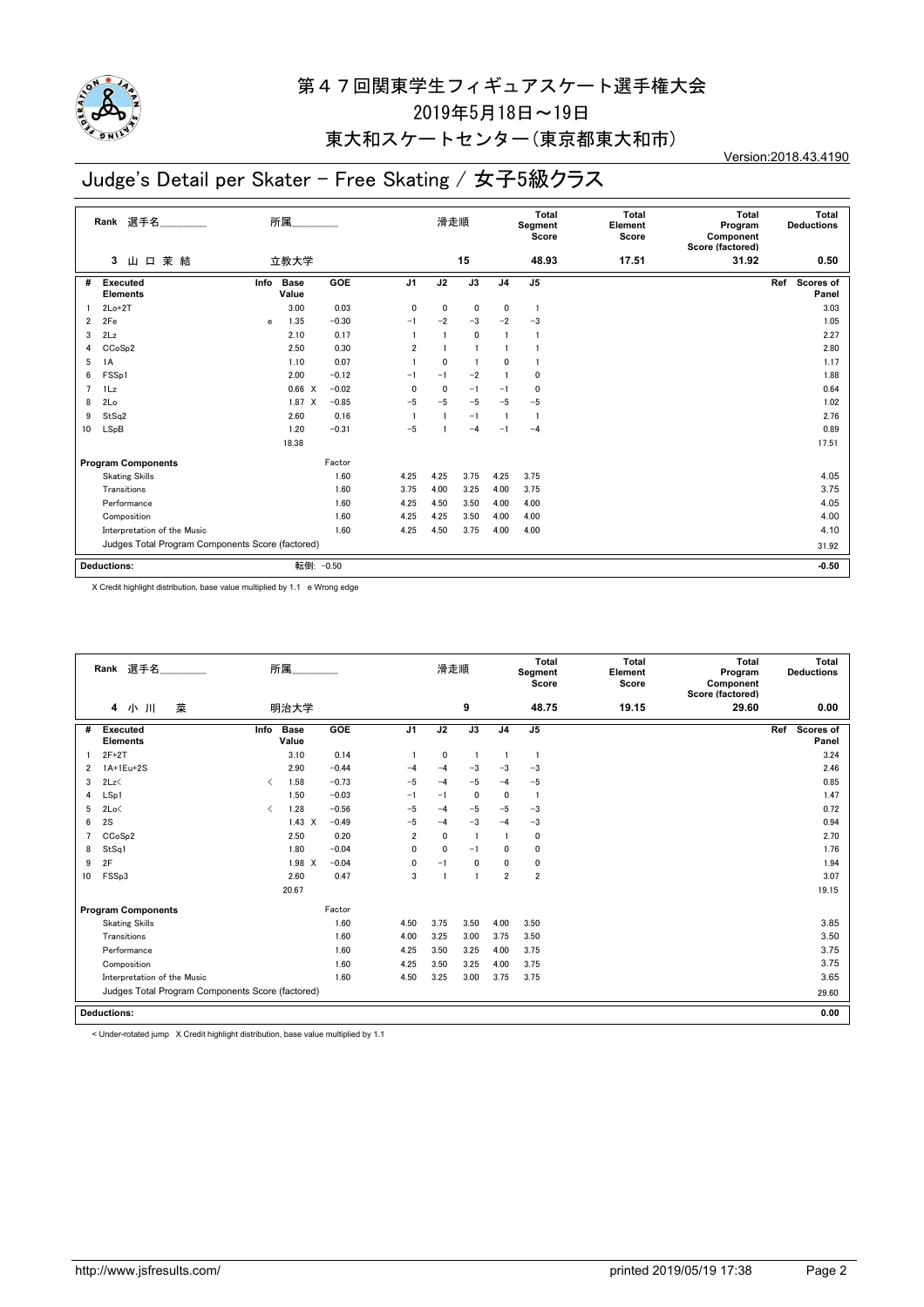

### 東大和スケートセンター(東京都東大和市)

# Judge's Detail per Skater - Free Skating / 女子5級クラス

Version:2018.43.4190

|                | 選手名<br>Rank                                      | 所属.                          |         |                | 滑走順  |      |                | Total<br>Segment<br>Score | <b>Total</b><br>Element<br>Score | <b>Total</b><br>Program<br>Component<br>Score (factored) | Total<br><b>Deductions</b>       |
|----------------|--------------------------------------------------|------------------------------|---------|----------------|------|------|----------------|---------------------------|----------------------------------|----------------------------------------------------------|----------------------------------|
|                | 山口茉結<br>3                                        | 立教大学                         |         |                |      | 15   |                | 48.93                     | 17.51                            | 31.92                                                    | 0.50                             |
| #              | Executed<br><b>Elements</b>                      | <b>Base</b><br>Info<br>Value | GOE     | J <sub>1</sub> | J2   | J3   | J <sub>4</sub> | J <sub>5</sub>            |                                  |                                                          | <b>Scores of</b><br>Ref<br>Panel |
|                | $2Lo+2T$                                         | 3.00                         | 0.03    | $\mathbf{0}$   | 0    | 0    | 0              | $\overline{1}$            |                                  |                                                          | 3.03                             |
| $\overline{2}$ | 2Fe                                              | 1.35<br>e                    | $-0.30$ | $-1$           | $-2$ | $-3$ | $-2$           | $-3$                      |                                  |                                                          | 1.05                             |
| 3              | 2Lz                                              | 2.10                         | 0.17    |                |      | 0    | $\overline{1}$ |                           |                                  |                                                          | 2.27                             |
| 4              | CCoSp2                                           | 2.50                         | 0.30    | $\overline{2}$ |      |      |                |                           |                                  |                                                          | 2.80                             |
| 5              | 1A                                               | 1.10                         | 0.07    |                | 0    |      | 0              |                           |                                  |                                                          | 1.17                             |
| 6              | FSSp1                                            | 2.00                         | $-0.12$ | $-1$           | $-1$ | $-2$ |                | 0                         |                                  |                                                          | 1.88                             |
| $\overline{7}$ | 1Lz                                              | 0.66 X                       | $-0.02$ | $\mathbf{0}$   | 0    | $-1$ | $-1$           | $\mathbf{0}$              |                                  |                                                          | 0.64                             |
| 8              | 2Lo                                              | $1.87 \t X$                  | $-0.85$ | $-5$           | $-5$ | $-5$ | $-5$           | $-5$                      |                                  |                                                          | 1.02                             |
| 9              | StSq2                                            | 2.60                         | 0.16    |                |      | $-1$ | $\overline{1}$ | -1                        |                                  |                                                          | 2.76                             |
| 10             | LSpB                                             | 1.20                         | $-0.31$ | $-5$           |      | $-4$ | $-1$           | $-4$                      |                                  |                                                          | 0.89                             |
|                |                                                  | 18.38                        |         |                |      |      |                |                           |                                  |                                                          | 17.51                            |
|                | <b>Program Components</b>                        |                              | Factor  |                |      |      |                |                           |                                  |                                                          |                                  |
|                | <b>Skating Skills</b>                            |                              | 1.60    | 4.25           | 4.25 | 3.75 | 4.25           | 3.75                      |                                  |                                                          | 4.05                             |
|                | Transitions                                      |                              | 1.60    | 3.75           | 4.00 | 3.25 | 4.00           | 3.75                      |                                  |                                                          | 3.75                             |
|                | Performance                                      |                              | 1.60    | 4.25           | 4.50 | 3.50 | 4.00           | 4.00                      |                                  |                                                          | 4.05                             |
|                | Composition                                      |                              | 1.60    | 4.25           | 4.25 | 3.50 | 4.00           | 4.00                      |                                  |                                                          | 4.00                             |
|                | Interpretation of the Music                      |                              | 1.60    | 4.25           | 4.50 | 3.75 | 4.00           | 4.00                      |                                  |                                                          | 4.10                             |
|                | Judges Total Program Components Score (factored) |                              |         |                |      |      |                |                           |                                  |                                                          | 31.92                            |
|                | <b>Deductions:</b>                               | 転倒:                          | $-0.50$ |                |      |      |                |                           |                                  |                                                          | $-0.50$                          |
|                |                                                  |                              |         |                |      |      |                |                           |                                  |                                                          |                                  |

X Credit highlight distribution, base value multiplied by 1.1 e Wrong edge

|    | Rank 選手名                                         |                                          | 所属                   |         |                | 滑走順                     |                |                | Total<br>Segment<br>Score | Total<br>Element<br>Score | Total<br>Program<br>Component<br>Score (factored) | Total<br><b>Deductions</b> |
|----|--------------------------------------------------|------------------------------------------|----------------------|---------|----------------|-------------------------|----------------|----------------|---------------------------|---------------------------|---------------------------------------------------|----------------------------|
|    | 菜<br>4<br>小川                                     |                                          | 明治大学                 |         |                |                         | 9              |                | 48.75                     | 19.15                     | 29.60                                             | 0.00                       |
| #  | <b>Executed</b><br><b>Elements</b>               | Info                                     | <b>Base</b><br>Value | GOE     | J <sub>1</sub> | J2                      | J3             | J <sub>4</sub> | J <sub>5</sub>            |                           |                                                   | Ref<br>Scores of<br>Panel  |
|    | $2F+2T$                                          |                                          | 3.10                 | 0.14    |                | 0                       |                | -1             |                           |                           |                                                   | 3.24                       |
| 2  | 1A+1Eu+2S                                        |                                          | 2.90                 | $-0.44$ | $-4$           | $-4$                    | $-3$           | $-3$           | $-3$                      |                           |                                                   | 2.46                       |
| 3  | 2Lz                                              | $\overline{\left\langle \right\rangle }$ | 1.58                 | $-0.73$ | $-5$           | $-4$                    | $-5$           | $-4$           | $-5$                      |                           |                                                   | 0.85                       |
| 4  | LSp1                                             |                                          | 1.50                 | $-0.03$ | $-1$           | $-1$                    | 0              | $\Omega$       |                           |                           |                                                   | 1.47                       |
| 5  | 2Lo<                                             | $\overline{\phantom{a}}$                 | 1.28                 | $-0.56$ | $-5$           | $-4$                    | $-5$           | $-5$           | $-3$                      |                           |                                                   | 0.72                       |
| 6  | 2S                                               |                                          | $1.43 \times$        | $-0.49$ | $-5$           | $-4$                    | $-3$           | $-4$           | $-3$                      |                           |                                                   | 0.94                       |
| 7  | CCoSp2                                           |                                          | 2.50                 | 0.20    | $\overline{2}$ | 0                       | $\overline{1}$ | -1             | 0                         |                           |                                                   | 2.70                       |
| 8  | StSq1                                            |                                          | 1.80                 | $-0.04$ | $\mathbf{0}$   | $\mathbf 0$             | $-1$           | $\mathbf{0}$   | 0                         |                           |                                                   | 1.76                       |
| 9  | 2F                                               |                                          | 1.98<br>$\times$     | $-0.04$ | 0              | $-1$                    | $\mathbf{0}$   | 0              | 0                         |                           |                                                   | 1.94                       |
| 10 | FSSp3                                            |                                          | 2.60                 | 0.47    | 3              | $\overline{\mathbf{1}}$ | $\overline{1}$ | $\overline{2}$ | $\overline{\mathbf{2}}$   |                           |                                                   | 3.07                       |
|    |                                                  |                                          | 20.67                |         |                |                         |                |                |                           |                           |                                                   | 19.15                      |
|    | <b>Program Components</b>                        |                                          |                      | Factor  |                |                         |                |                |                           |                           |                                                   |                            |
|    | <b>Skating Skills</b>                            |                                          |                      | 1.60    | 4.50           | 3.75                    | 3.50           | 4.00           | 3.50                      |                           |                                                   | 3.85                       |
|    | Transitions                                      |                                          |                      | 1.60    | 4.00           | 3.25                    | 3.00           | 3.75           | 3.50                      |                           |                                                   | 3.50                       |
|    | Performance                                      |                                          |                      | 1.60    | 4.25           | 3.50                    | 3.25           | 4.00           | 3.75                      |                           |                                                   | 3.75                       |
|    | Composition                                      |                                          |                      | 1.60    | 4.25           | 3.50                    | 3.25           | 4.00           | 3.75                      |                           |                                                   | 3.75                       |
|    | Interpretation of the Music                      |                                          |                      | 1.60    | 4.50           | 3.25                    | 3.00           | 3.75           | 3.75                      |                           |                                                   | 3.65                       |
|    | Judges Total Program Components Score (factored) |                                          |                      |         |                |                         |                |                |                           |                           |                                                   | 29.60                      |
|    | <b>Deductions:</b>                               |                                          |                      |         |                |                         |                |                |                           |                           |                                                   | 0.00                       |

< Under-rotated jump X Credit highlight distribution, base value multiplied by 1.1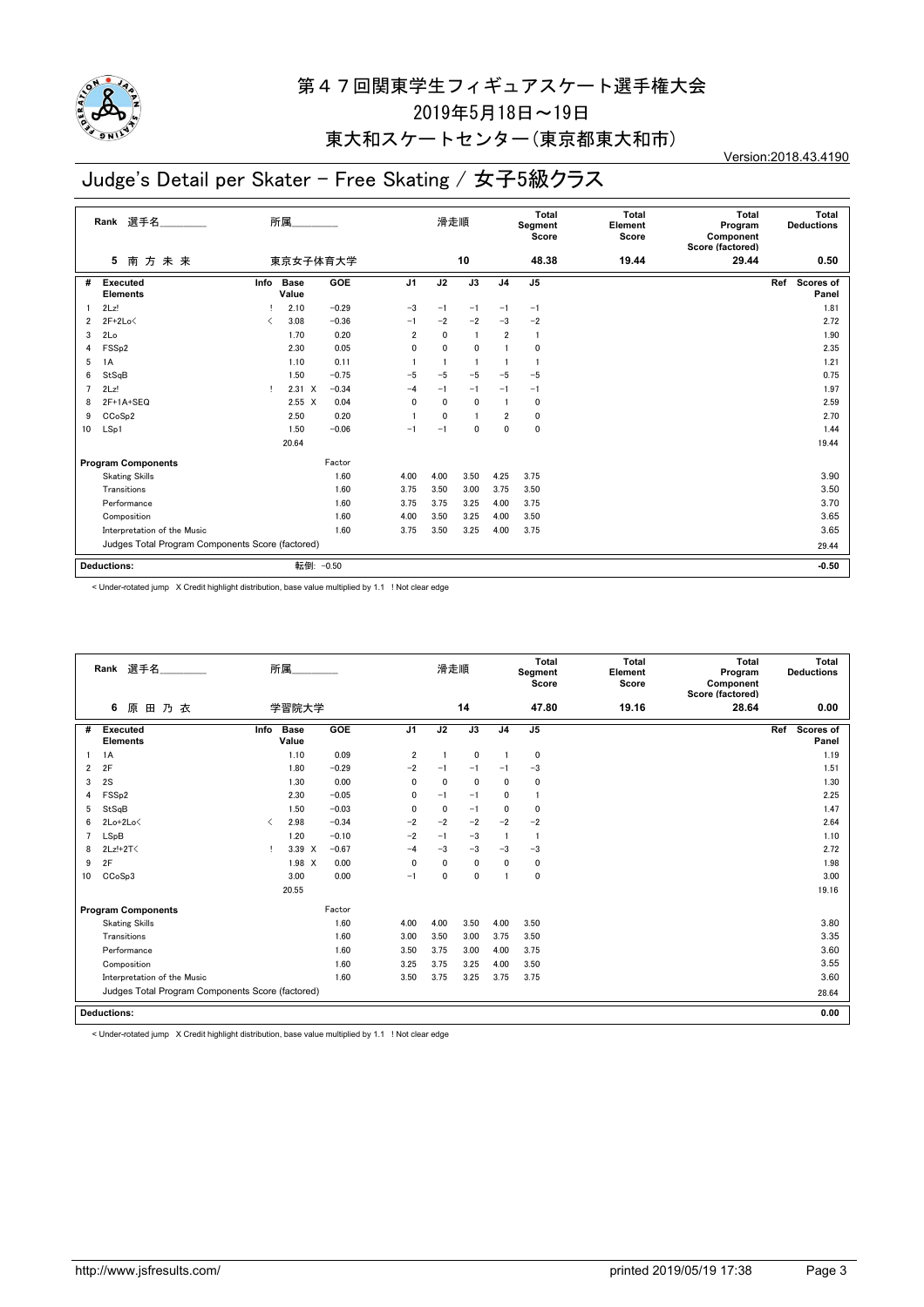

## 東大和スケートセンター(東京都東大和市)

# Judge's Detail per Skater - Free Skating / 女子5級クラス

Version:2018.43.4190

|    | 選手名<br>Rank                                      | 所属<br>東京女子体育大学                           |                      |         |                | 滑走順          |              |                | <b>Total</b><br>Segment<br>Score | <b>Total</b><br>Element<br>Score | <b>Total</b><br>Program<br>Component<br>Score (factored) | Total<br><b>Deductions</b> |
|----|--------------------------------------------------|------------------------------------------|----------------------|---------|----------------|--------------|--------------|----------------|----------------------------------|----------------------------------|----------------------------------------------------------|----------------------------|
|    | 南方未来<br>5                                        |                                          |                      |         |                |              | 10           |                | 48.38                            | 19.44                            | 29.44                                                    | 0.50                       |
| #  | <b>Executed</b><br><b>Elements</b>               | Info                                     | <b>Base</b><br>Value | GOE     | J <sub>1</sub> | J2           | J3           | J <sub>4</sub> | J <sub>5</sub>                   |                                  |                                                          | Scores of<br>Ref<br>Panel  |
|    | 2Lz!                                             |                                          | 2.10                 | $-0.29$ | $-3$           | $-1$         | $-1$         | $-1$           | $-1$                             |                                  |                                                          | 1.81                       |
| 2  | $2F+2Lo<$                                        | $\overline{\left\langle \right\rangle }$ | 3.08                 | $-0.36$ | $-1$           | $-2$         | $-2$         | $-3$           | $-2$                             |                                  |                                                          | 2.72                       |
| 3  | 2Lo                                              |                                          | 1.70                 | 0.20    | $\overline{2}$ | $\mathbf{0}$ |              | $\overline{2}$ | $\overline{1}$                   |                                  |                                                          | 1.90                       |
| 4  | FSS <sub>p2</sub>                                |                                          | 2.30                 | 0.05    | 0              | 0            | $\mathbf{0}$ |                | $\mathbf{0}$                     |                                  |                                                          | 2.35                       |
| 5  | 1A                                               |                                          | 1.10                 | 0.11    |                | 1            |              |                | $\mathbf{1}$                     |                                  |                                                          | 1.21                       |
| 6  | StSqB                                            |                                          | 1.50                 | $-0.75$ | $-5$           | $-5$         | $-5$         | $-5$           | $-5$                             |                                  |                                                          | 0.75                       |
| 7  | 2Lz!                                             | т.                                       | $2.31 \t X$          | $-0.34$ | $-4$           | $-1$         | $-1$         | $-1$           | $-1$                             |                                  |                                                          | 1.97                       |
| 8  | $2F+1A+SEQ$                                      |                                          | $2.55 \times$        | 0.04    | 0              | 0            | $\mathbf{0}$ |                | 0                                |                                  |                                                          | 2.59                       |
| 9  | CCoSp2                                           |                                          | 2.50                 | 0.20    |                | $\mathbf{0}$ |              | $\overline{2}$ | 0                                |                                  |                                                          | 2.70                       |
| 10 | LSp1                                             |                                          | 1.50                 | $-0.06$ | $-1$           | $-1$         | $\Omega$     | $\mathbf{0}$   | 0                                |                                  |                                                          | 1.44                       |
|    |                                                  |                                          | 20.64                |         |                |              |              |                |                                  |                                  |                                                          | 19.44                      |
|    | <b>Program Components</b>                        |                                          |                      | Factor  |                |              |              |                |                                  |                                  |                                                          |                            |
|    | <b>Skating Skills</b>                            |                                          |                      | 1.60    | 4.00           | 4.00         | 3.50         | 4.25           | 3.75                             |                                  |                                                          | 3.90                       |
|    | Transitions                                      |                                          |                      | 1.60    | 3.75           | 3.50         | 3.00         | 3.75           | 3.50                             |                                  |                                                          | 3.50                       |
|    | Performance                                      |                                          |                      | 1.60    | 3.75           | 3.75         | 3.25         | 4.00           | 3.75                             |                                  |                                                          | 3.70                       |
|    | Composition                                      |                                          |                      | 1.60    | 4.00           | 3.50         | 3.25         | 4.00           | 3.50                             |                                  |                                                          | 3.65                       |
|    | Interpretation of the Music                      |                                          |                      | 1.60    | 3.75           | 3.50         | 3.25         | 4.00           | 3.75                             |                                  |                                                          | 3.65                       |
|    | Judges Total Program Components Score (factored) |                                          |                      |         |                |              |              |                |                                  |                                  | 29.44                                                    |                            |
|    | <b>Deductions:</b>                               |                                          | 転倒: -0.50            |         |                |              |              |                |                                  |                                  |                                                          | $-0.50$                    |

< Under-rotated jump X Credit highlight distribution, base value multiplied by 1.1 ! Not clear edge

|    | Rank 選手名                                         |                               | 所属                   |         |                | 滑走順          |              |                | Total<br>Segment<br>Score | <b>Total</b><br>Element<br>Score | <b>Total</b><br>Program<br>Component<br>Score (factored) | Total<br><b>Deductions</b> |
|----|--------------------------------------------------|-------------------------------|----------------------|---------|----------------|--------------|--------------|----------------|---------------------------|----------------------------------|----------------------------------------------------------|----------------------------|
|    | 6<br>原<br>田乃衣                                    |                               | 学習院大学                |         |                |              | 14           |                | 47.80                     | 19.16                            | 28.64                                                    | 0.00                       |
| #  | <b>Executed</b><br><b>Elements</b>               | Info                          | <b>Base</b><br>Value | GOE     | J <sub>1</sub> | J2           | J3           | J <sub>4</sub> | J <sub>5</sub>            |                                  |                                                          | Scores of<br>Ref<br>Panel  |
|    | 1A                                               |                               | 1.10                 | 0.09    | $\overline{2}$ |              | 0            |                | 0                         |                                  |                                                          | 1.19                       |
| 2  | 2F                                               |                               | 1.80                 | $-0.29$ | $-2$           | $-1$         | $-1$         | $-1$           | $-3$                      |                                  |                                                          | 1.51                       |
| 3  | 2S                                               |                               | 1.30                 | 0.00    | $\mathbf{0}$   | $\mathbf{0}$ | $\mathbf{0}$ | $\mathbf{0}$   | 0                         |                                  |                                                          | 1.30                       |
| 4  | FSS <sub>p2</sub>                                |                               | 2.30                 | $-0.05$ | 0              | $-1$         | $-1$         | 0              |                           |                                  |                                                          | 2.25                       |
| 5  | StSqB                                            |                               | 1.50                 | $-0.03$ | $\mathbf{0}$   | $\mathbf{0}$ | $-1$         | $\mathbf{0}$   | $\mathbf{0}$              |                                  |                                                          | 1.47                       |
| 6  | $2Lo+2Lo<$                                       | $\overline{\left( \right. }%$ | 2.98                 | $-0.34$ | $-2$           | $-2$         | $-2$         | $-2$           | $-2$                      |                                  |                                                          | 2.64                       |
|    | LSpB                                             |                               | 1.20                 | $-0.10$ | $-2$           | $-1$         | $-3$         |                | $\mathbf{1}$              |                                  |                                                          | 1.10                       |
| 8  | 2Lz!+2T<                                         | Ţ.                            | 3.39 X               | $-0.67$ | $-4$           | $-3$         | $-3$         | $-3$           | $-3$                      |                                  |                                                          | 2.72                       |
| 9  | 2F                                               |                               | 1.98 X               | 0.00    | $\mathbf{0}$   | $\mathbf{0}$ | 0            | 0              | 0                         |                                  |                                                          | 1.98                       |
| 10 | CCoSp3                                           |                               | 3.00                 | 0.00    | $-1$           | 0            | 0            | -1             | 0                         |                                  |                                                          | 3.00                       |
|    |                                                  |                               | 20.55                |         |                |              |              |                |                           |                                  |                                                          | 19.16                      |
|    | <b>Program Components</b>                        |                               |                      | Factor  |                |              |              |                |                           |                                  |                                                          |                            |
|    | <b>Skating Skills</b>                            |                               |                      | 1.60    | 4.00           | 4.00         | 3.50         | 4.00           | 3.50                      |                                  |                                                          | 3.80                       |
|    | Transitions                                      |                               |                      | 1.60    | 3.00           | 3.50         | 3.00         | 3.75           | 3.50                      |                                  |                                                          | 3.35                       |
|    | Performance                                      |                               |                      | 1.60    | 3.50           | 3.75         | 3.00         | 4.00           | 3.75                      |                                  |                                                          | 3.60                       |
|    | Composition                                      |                               |                      | 1.60    | 3.25           | 3.75         | 3.25         | 4.00           | 3.50                      |                                  |                                                          | 3.55                       |
|    | Interpretation of the Music                      |                               |                      | 1.60    | 3.50           | 3.75         | 3.25         | 3.75           | 3.75                      |                                  |                                                          | 3.60                       |
|    | Judges Total Program Components Score (factored) |                               |                      |         |                |              |              |                |                           |                                  |                                                          | 28.64                      |
|    |                                                  |                               |                      |         |                |              |              |                |                           |                                  |                                                          |                            |
|    | <b>Deductions:</b>                               |                               |                      |         |                |              |              |                |                           |                                  |                                                          | 0.00                       |

< Under-rotated jump X Credit highlight distribution, base value multiplied by 1.1 ! Not clear edge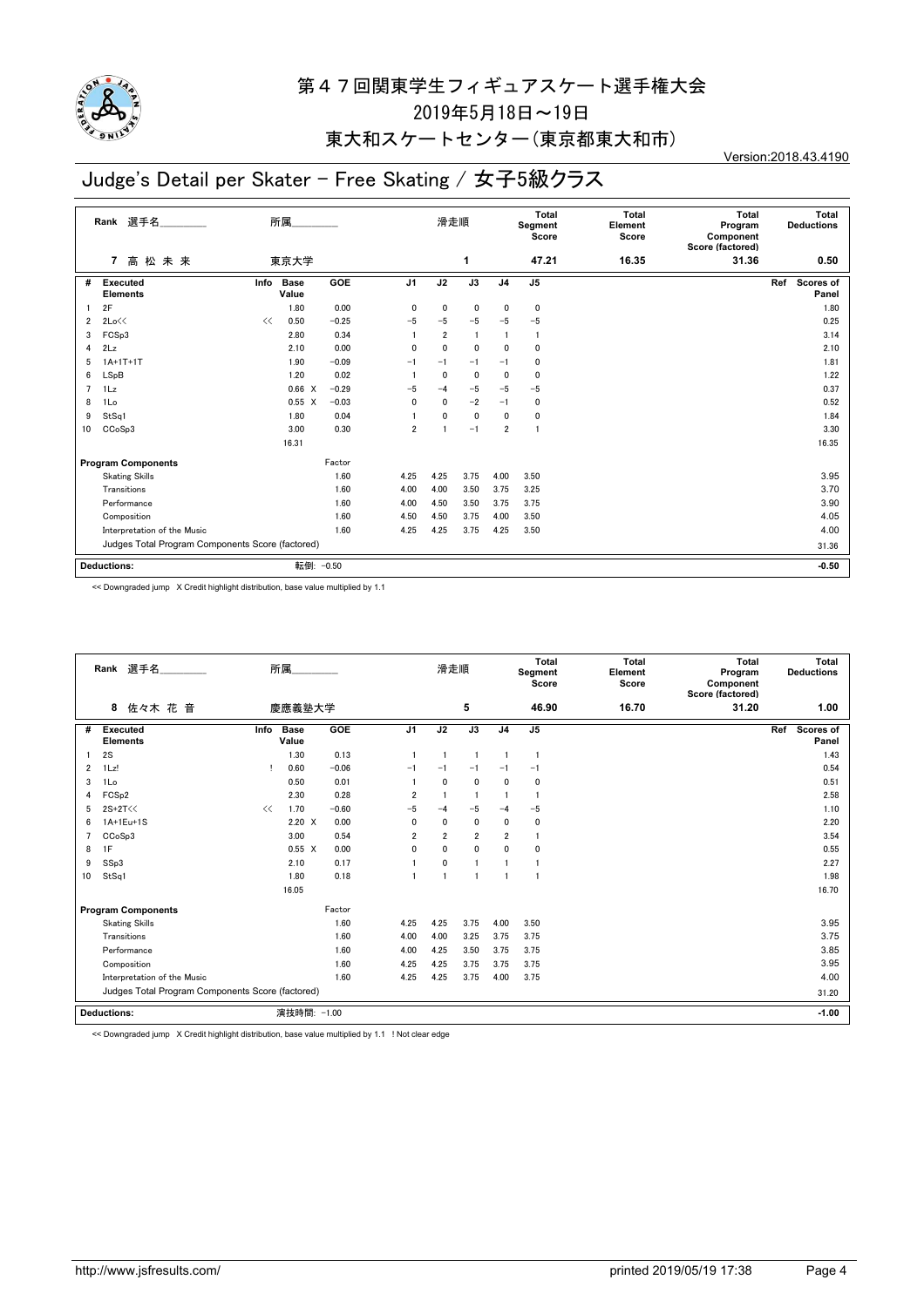

## 東大和スケートセンター(東京都東大和市)

# Judge's Detail per Skater - Free Skating / 女子5級クラス

Version:2018.43.4190

|                  | 選手名<br>Rank                                      |      | 所属.                  |            |                | 滑走順            |                 |                | <b>Total</b><br>Segment<br>Score | <b>Total</b><br>Element<br>Score | <b>Total</b><br>Program<br>Component<br>Score (factored) | Total<br><b>Deductions</b>       |
|------------------|--------------------------------------------------|------|----------------------|------------|----------------|----------------|-----------------|----------------|----------------------------------|----------------------------------|----------------------------------------------------------|----------------------------------|
|                  | 高松未来<br>$\overline{7}$                           |      | 東京大学                 |            |                |                | 1               |                | 47.21                            | 16.35                            | 31.36                                                    | 0.50                             |
| #                | <b>Executed</b><br><b>Elements</b>               | Info | <b>Base</b><br>Value | <b>GOE</b> | <b>J1</b>      | J2             | $\overline{J3}$ | J <sub>4</sub> | J <sub>5</sub>                   |                                  |                                                          | Ref<br><b>Scores of</b><br>Panel |
|                  | 2F                                               |      | 1.80                 | 0.00       | $\mathbf{0}$   | 0              | 0               | 0              | $\mathbf 0$                      |                                  |                                                          | 1.80                             |
| 2                | 2Lo<<                                            | <<   | 0.50                 | $-0.25$    | $-5$           | $-5$           | $-5$            | $-5$           | $-5$                             |                                  |                                                          | 0.25                             |
| 3                | FCSp3                                            |      | 2.80                 | 0.34       |                | $\overline{2}$ | $\overline{1}$  | $\mathbf{1}$   | $\mathbf{1}$                     |                                  |                                                          | 3.14                             |
| 4                | 2Lz                                              |      | 2.10                 | 0.00       | 0              | $\mathbf 0$    | $\mathbf{0}$    | 0              | $\mathbf 0$                      |                                  |                                                          | 2.10                             |
| 5                | $1A+1T+1T$                                       |      | 1.90                 | $-0.09$    | $-1$           | $-1$           | $-1$            | $-1$           | 0                                |                                  |                                                          | 1.81                             |
| 6                | LSpB                                             |      | 1.20                 | 0.02       |                | $\mathbf{0}$   | $\mathbf{0}$    | $\mathbf{0}$   | $\mathbf{0}$                     |                                  |                                                          | 1.22                             |
| 7                | 1Lz                                              |      | 0.66 X               | $-0.29$    | $-5$           | $-4$           | $-5$            | $-5$           | $-5$                             |                                  |                                                          | 0.37                             |
| 8                | 1Lo                                              |      | $0.55 \quad X$       | $-0.03$    | 0              | $\mathbf{0}$   | $-2$            | $-1$           | 0                                |                                  |                                                          | 0.52                             |
| 9                | StSq1                                            |      | 1.80                 | 0.04       |                | $\mathbf 0$    | $\mathbf 0$     | $\mathbf 0$    | $\mathbf 0$                      |                                  |                                                          | 1.84                             |
| 10 <sup>10</sup> | CC <sub>o</sub> S <sub>p</sub> 3                 |      | 3.00                 | 0.30       | $\overline{2}$ |                | $-1$            | $\overline{2}$ | $\mathbf{1}$                     |                                  |                                                          | 3.30                             |
|                  |                                                  |      | 16.31                |            |                |                |                 |                |                                  |                                  |                                                          | 16.35                            |
|                  | <b>Program Components</b>                        |      |                      | Factor     |                |                |                 |                |                                  |                                  |                                                          |                                  |
|                  | <b>Skating Skills</b>                            |      |                      | 1.60       | 4.25           | 4.25           | 3.75            | 4.00           | 3.50                             |                                  |                                                          | 3.95                             |
|                  | Transitions                                      |      |                      | 1.60       | 4.00           | 4.00           | 3.50            | 3.75           | 3.25                             |                                  |                                                          | 3.70                             |
|                  | Performance                                      |      |                      | 1.60       | 4.00           | 4.50           | 3.50            | 3.75           | 3.75                             |                                  |                                                          | 3.90                             |
|                  | Composition                                      |      |                      | 1.60       | 4.50           | 4.50           | 3.75            | 4.00           | 3.50                             |                                  |                                                          | 4.05                             |
|                  | Interpretation of the Music                      |      |                      | 1.60       | 4.25           | 4.25           | 3.75            | 4.25           | 3.50                             |                                  |                                                          | 4.00                             |
|                  | Judges Total Program Components Score (factored) |      |                      |            |                |                |                 |                |                                  |                                  |                                                          | 31.36                            |
|                  |                                                  |      |                      |            |                |                |                 |                |                                  |                                  |                                                          |                                  |
|                  | <b>Deductions:</b>                               |      | 転倒: -0.50            |            |                |                |                 |                |                                  |                                  |                                                          | $-0.50$                          |

<< Downgraded jump X Credit highlight distribution, base value multiplied by 1.1

|    | Rank 選手名                                         |      | 所属                   |         |                | 滑走順            |                |                | Total<br>Segment<br>Score | <b>Total</b><br>Element<br>Score | Total<br>Program<br>Component<br>Score (factored) | <b>Total</b><br><b>Deductions</b> |
|----|--------------------------------------------------|------|----------------------|---------|----------------|----------------|----------------|----------------|---------------------------|----------------------------------|---------------------------------------------------|-----------------------------------|
|    | 佐々木 花音<br>8                                      |      | 慶應義塾大学               |         |                |                | 5              |                | 46.90                     | 16.70                            | 31.20                                             | 1.00                              |
| #  | <b>Executed</b><br><b>Elements</b>               | Info | <b>Base</b><br>Value | GOE     | J <sub>1</sub> | J2             | J3             | J <sub>4</sub> | J <sub>5</sub>            |                                  |                                                   | Scores of<br>Ref<br>Panel         |
|    | 2S                                               |      | 1.30                 | 0.13    |                | $\overline{1}$ | -1             | $\overline{1}$ | -1                        |                                  |                                                   | 1.43                              |
| 2  | 1Lz!                                             |      | 0.60                 | $-0.06$ | $-1$           | $-1$           | $-1$           | $-1$           | $-1$                      |                                  |                                                   | 0.54                              |
| 3  | 1Lo                                              |      | 0.50                 | 0.01    |                | $\mathbf{0}$   | $\mathbf{0}$   | $\mathbf{0}$   | 0                         |                                  |                                                   | 0.51                              |
| 4  | FCS <sub>p2</sub>                                |      | 2.30                 | 0.28    | 2              |                | -1             | -1             |                           |                                  |                                                   | 2.58                              |
| 5  | 2S+2T<<                                          | <<   | 1.70                 | $-0.60$ | $-5$           | $-4$           | $-5$           | $-4$           | $-5$                      |                                  |                                                   | 1.10                              |
| 6  | 1A+1Eu+1S                                        |      | $2.20 \times$        | 0.00    | $\mathbf{0}$   | $\mathbf{0}$   | $\mathbf{0}$   | $\mathbf{0}$   | 0                         |                                  |                                                   | 2.20                              |
| 7  | CC <sub>o</sub> S <sub>p</sub> 3                 |      | 3.00                 | 0.54    | $\overline{2}$ | $\overline{2}$ | $\overline{2}$ | $\overline{2}$ | -1                        |                                  |                                                   | 3.54                              |
| 8  | 1F                                               |      | $0.55 \quad X$       | 0.00    | 0              | $\mathbf{0}$   | $\mathbf 0$    | $\mathbf{0}$   | 0                         |                                  |                                                   | 0.55                              |
| 9  | SSp3                                             |      | 2.10                 | 0.17    |                | 0              |                |                |                           |                                  |                                                   | 2.27                              |
| 10 | StSq1                                            |      | 1.80                 | 0.18    |                | $\overline{1}$ |                | -1             |                           |                                  |                                                   | 1.98                              |
|    |                                                  |      | 16.05                |         |                |                |                |                |                           |                                  |                                                   | 16.70                             |
|    | <b>Program Components</b>                        |      |                      | Factor  |                |                |                |                |                           |                                  |                                                   |                                   |
|    | <b>Skating Skills</b>                            |      |                      | 1.60    | 4.25           | 4.25           | 3.75           | 4.00           | 3.50                      |                                  |                                                   | 3.95                              |
|    | Transitions                                      |      |                      | 1.60    | 4.00           | 4.00           | 3.25           | 3.75           | 3.75                      |                                  |                                                   | 3.75                              |
|    | Performance                                      |      |                      | 1.60    | 4.00           | 4.25           | 3.50           | 3.75           | 3.75                      |                                  |                                                   | 3.85                              |
|    | Composition                                      |      |                      | 1.60    | 4.25           | 4.25           | 3.75           | 3.75           | 3.75                      |                                  |                                                   | 3.95                              |
|    | Interpretation of the Music                      |      |                      | 1.60    | 4.25           | 4.25           | 3.75           | 4.00           | 3.75                      |                                  |                                                   | 4.00                              |
|    | Judges Total Program Components Score (factored) |      |                      |         |                |                |                |                |                           |                                  |                                                   | 31.20                             |
|    | Deductions:                                      |      | 演技時間: -1.00          |         |                |                |                |                |                           |                                  |                                                   | $-1.00$                           |

<< Downgraded jump X Credit highlight distribution, base value multiplied by 1.1 ! Not clear edge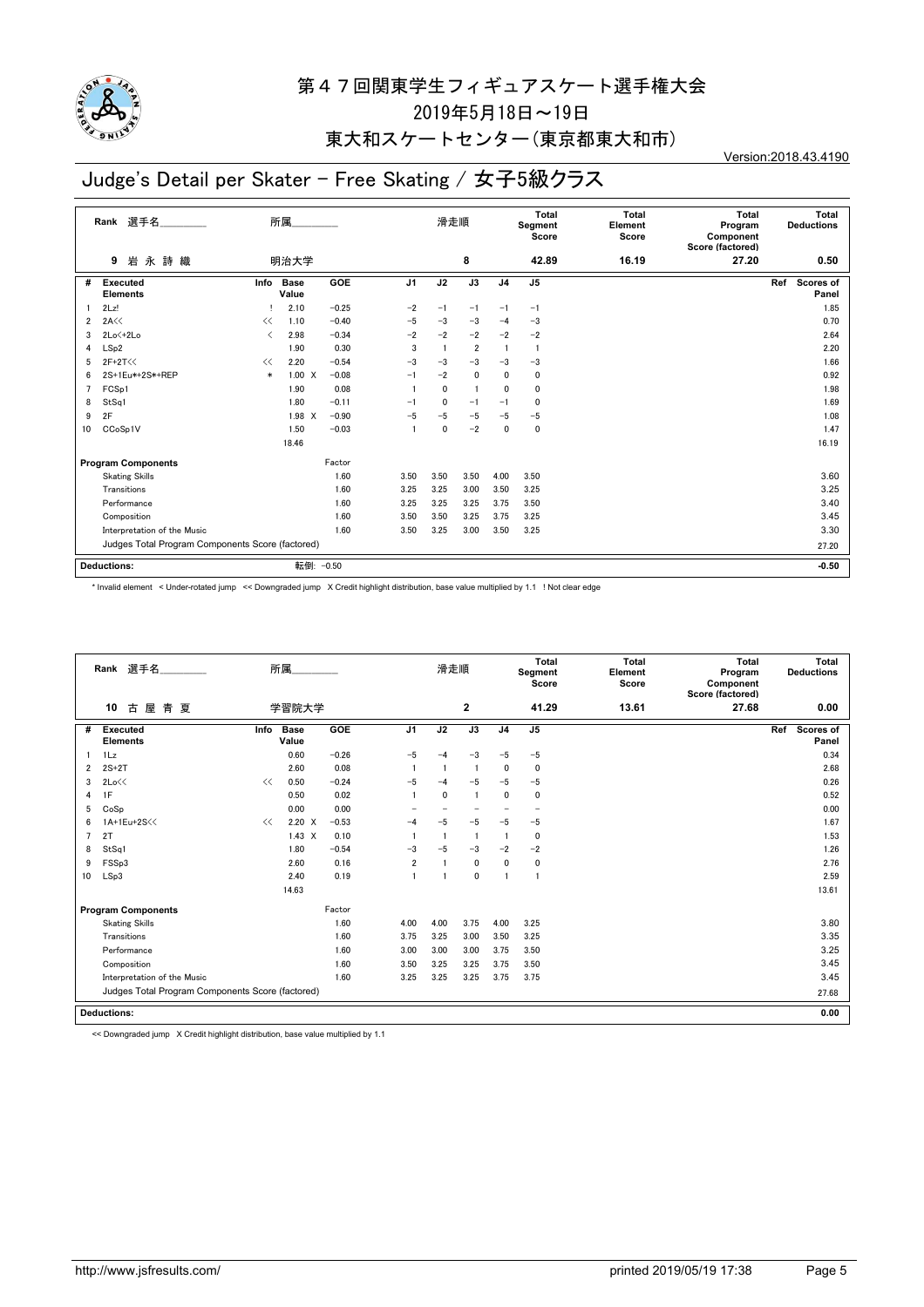

### 東大和スケートセンター(東京都東大和市)

# Judge's Detail per Skater - Free Skating / 女子5級クラス

Version:2018.43.4190

|    | 選手名<br>Rank                                      |                               | 所属                   |         |                | 滑走順          |                |                | <b>Total</b><br>Segment<br>Score | <b>Total</b><br>Element<br>Score | <b>Total</b><br>Program<br>Component<br>Score (factored) | Total<br><b>Deductions</b> |
|----|--------------------------------------------------|-------------------------------|----------------------|---------|----------------|--------------|----------------|----------------|----------------------------------|----------------------------------|----------------------------------------------------------|----------------------------|
|    | 永詩織<br>岩<br>9                                    |                               | 明治大学                 |         |                |              | 8              |                | 42.89                            | 16.19                            | 27.20                                                    | 0.50                       |
| #  | <b>Executed</b><br><b>Elements</b>               | Info                          | <b>Base</b><br>Value | GOE     | J <sub>1</sub> | J2           | J3             | J <sub>4</sub> | J <sub>5</sub>                   |                                  |                                                          | Ref<br>Scores of<br>Panel  |
|    | 2Lz!                                             |                               | 2.10                 | $-0.25$ | $-2$           | $-1$         | $-1$           | $-1$           | $-1$                             |                                  |                                                          | 1.85                       |
| 2  | 2A<<                                             | <<                            | 1.10                 | $-0.40$ | $-5$           | $-3$         | $-3$           | $-4$           | $-3$                             |                                  |                                                          | 0.70                       |
| 3  | $2Lo \leftarrow 2Lo$                             | $\overline{\left( \right. }%$ | 2.98                 | $-0.34$ | $-2$           | $-2$         | $-2$           | $-2$           | $-2$                             |                                  |                                                          | 2.64                       |
| 4  | LSp2                                             |                               | 1.90                 | 0.30    | 3              | 1            | $\overline{2}$ |                | $\mathbf{1}$                     |                                  |                                                          | 2.20                       |
| 5  | $2F+2T<<$                                        | <<                            | 2.20                 | $-0.54$ | $-3$           | $-3$         | $-3$           | $-3$           | $-3$                             |                                  |                                                          | 1.66                       |
| 6  | 2S+1Eu*+2S*+REP                                  | $\ast$                        | $1.00 \quad X$       | $-0.08$ | $-1$           | $-2$         | $\mathbf{0}$   | $\mathbf{0}$   | 0                                |                                  |                                                          | 0.92                       |
| 7  | FCSp1                                            |                               | 1.90                 | 0.08    |                | $\mathbf{0}$ |                | $\mathbf{0}$   | 0                                |                                  |                                                          | 1.98                       |
| 8  | StSq1                                            |                               | 1.80                 | $-0.11$ | $-1$           | 0            | $-1$           | $-1$           | 0                                |                                  |                                                          | 1.69                       |
| 9  | 2F                                               |                               | 1.98 X               | $-0.90$ | $-5$           | $-5$         | $-5$           | $-5$           | $-5$                             |                                  |                                                          | 1.08                       |
| 10 | CCoSp1V                                          |                               | 1.50                 | $-0.03$ | 1              | 0            | $-2$           | 0              | 0                                |                                  |                                                          | 1.47                       |
|    |                                                  |                               | 18.46                |         |                |              |                |                |                                  |                                  |                                                          | 16.19                      |
|    | <b>Program Components</b>                        |                               |                      | Factor  |                |              |                |                |                                  |                                  |                                                          |                            |
|    | <b>Skating Skills</b>                            |                               |                      | 1.60    | 3.50           | 3.50         | 3.50           | 4.00           | 3.50                             |                                  |                                                          | 3.60                       |
|    | Transitions                                      |                               |                      | 1.60    | 3.25           | 3.25         | 3.00           | 3.50           | 3.25                             |                                  |                                                          | 3.25                       |
|    | Performance                                      |                               |                      | 1.60    | 3.25           | 3.25         | 3.25           | 3.75           | 3.50                             |                                  |                                                          | 3.40                       |
|    | Composition                                      |                               |                      | 1.60    | 3.50           | 3.50         | 3.25           | 3.75           | 3.25                             |                                  |                                                          | 3.45                       |
|    | Interpretation of the Music                      |                               |                      | 1.60    | 3.50           | 3.25         | 3.00           | 3.50           | 3.25                             |                                  |                                                          | 3.30                       |
|    | Judges Total Program Components Score (factored) |                               |                      |         |                |              |                |                |                                  |                                  |                                                          | 27.20                      |
|    | <b>Deductions:</b>                               |                               | 転倒: -0.50            |         |                |              |                |                |                                  |                                  |                                                          | $-0.50$                    |
|    |                                                  |                               |                      |         |                |              |                |                |                                  |                                  |                                                          |                            |

\* Invalid element < Under-rotated jump << Downgraded jump X Credit highlight distribution, base value multiplied by 1.1 ! Not clear edge

|    | Rank 選手名                                         |      | 所属.                  |         |                | 滑走順          |                |                | <b>Total</b><br>Segment<br>Score | <b>Total</b><br>Element<br>Score | Total<br>Program<br>Component<br>Score (factored) | Total<br><b>Deductions</b> |
|----|--------------------------------------------------|------|----------------------|---------|----------------|--------------|----------------|----------------|----------------------------------|----------------------------------|---------------------------------------------------|----------------------------|
|    | 10<br>古<br>屋<br>青夏                               |      | 学習院大学                |         |                |              | $\mathbf{2}$   |                | 41.29                            | 13.61                            | 27.68                                             | 0.00                       |
| #  | <b>Executed</b><br><b>Elements</b>               | Info | <b>Base</b><br>Value | GOE     | J <sub>1</sub> | J2           | J3             | J <sub>4</sub> | J <sub>5</sub>                   |                                  |                                                   | Scores of<br>Ref<br>Panel  |
|    | 1Lz                                              |      | 0.60                 | $-0.26$ | $-5$           | $-4$         | $-3$           | $-5$           | $-5$                             |                                  |                                                   | 0.34                       |
| 2  | $2S+2T$                                          |      | 2.60                 | 0.08    |                |              | $\overline{1}$ | 0              | $\mathbf 0$                      |                                  |                                                   | 2.68                       |
| 3  | 2Lo<<                                            | <<   | 0.50                 | $-0.24$ | $-5$           | $-4$         | $-5$           | $-5$           | $-5$                             |                                  |                                                   | 0.26                       |
| 4  | 1F                                               |      | 0.50                 | 0.02    |                | $\mathbf{0}$ |                | 0              | $\mathbf 0$                      |                                  |                                                   | 0.52                       |
| 5  | CoSp                                             |      | 0.00                 | 0.00    |                |              |                |                |                                  |                                  |                                                   | 0.00                       |
| 6  | 1A+1Eu+2S<<                                      | <<   | $2.20 \times$        | $-0.53$ | $-4$           | $-5$         | $-5$           | $-5$           | $-5$                             |                                  |                                                   | 1.67                       |
|    | 2T                                               |      | $1.43 \times$        | 0.10    |                |              | $\overline{1}$ |                | $\Omega$                         |                                  |                                                   | 1.53                       |
| 8  | StSq1                                            |      | 1.80                 | $-0.54$ | $-3$           | $-5$         | $-3$           | $-2$           | $-2$                             |                                  |                                                   | 1.26                       |
| 9  | FSSp3                                            |      | 2.60                 | 0.16    | $\overline{2}$ |              | $\mathbf 0$    | $\mathbf 0$    | $\mathbf 0$                      |                                  |                                                   | 2.76                       |
| 10 | LSp3                                             |      | 2.40                 | 0.19    |                |              | $\mathbf 0$    |                | $\mathbf{1}$                     |                                  |                                                   | 2.59                       |
|    |                                                  |      | 14.63                |         |                |              |                |                |                                  |                                  |                                                   | 13.61                      |
|    | <b>Program Components</b>                        |      |                      | Factor  |                |              |                |                |                                  |                                  |                                                   |                            |
|    | <b>Skating Skills</b>                            |      |                      | 1.60    | 4.00           | 4.00         | 3.75           | 4.00           | 3.25                             |                                  |                                                   | 3.80                       |
|    | Transitions                                      |      |                      | 1.60    | 3.75           | 3.25         | 3.00           | 3.50           | 3.25                             |                                  |                                                   | 3.35                       |
|    | Performance                                      |      |                      | 1.60    | 3.00           | 3.00         | 3.00           | 3.75           | 3.50                             |                                  |                                                   | 3.25                       |
|    | Composition                                      |      |                      | 1.60    | 3.50           | 3.25         | 3.25           | 3.75           | 3.50                             |                                  |                                                   | 3.45                       |
|    | Interpretation of the Music                      |      |                      | 1.60    | 3.25           | 3.25         | 3.25           | 3.75           | 3.75                             |                                  |                                                   | 3.45                       |
|    | Judges Total Program Components Score (factored) |      |                      |         |                |              |                |                |                                  |                                  |                                                   | 27.68                      |
|    | <b>Deductions:</b>                               |      |                      |         |                |              |                |                |                                  |                                  |                                                   | 0.00                       |

<< Downgraded jump X Credit highlight distribution, base value multiplied by 1.1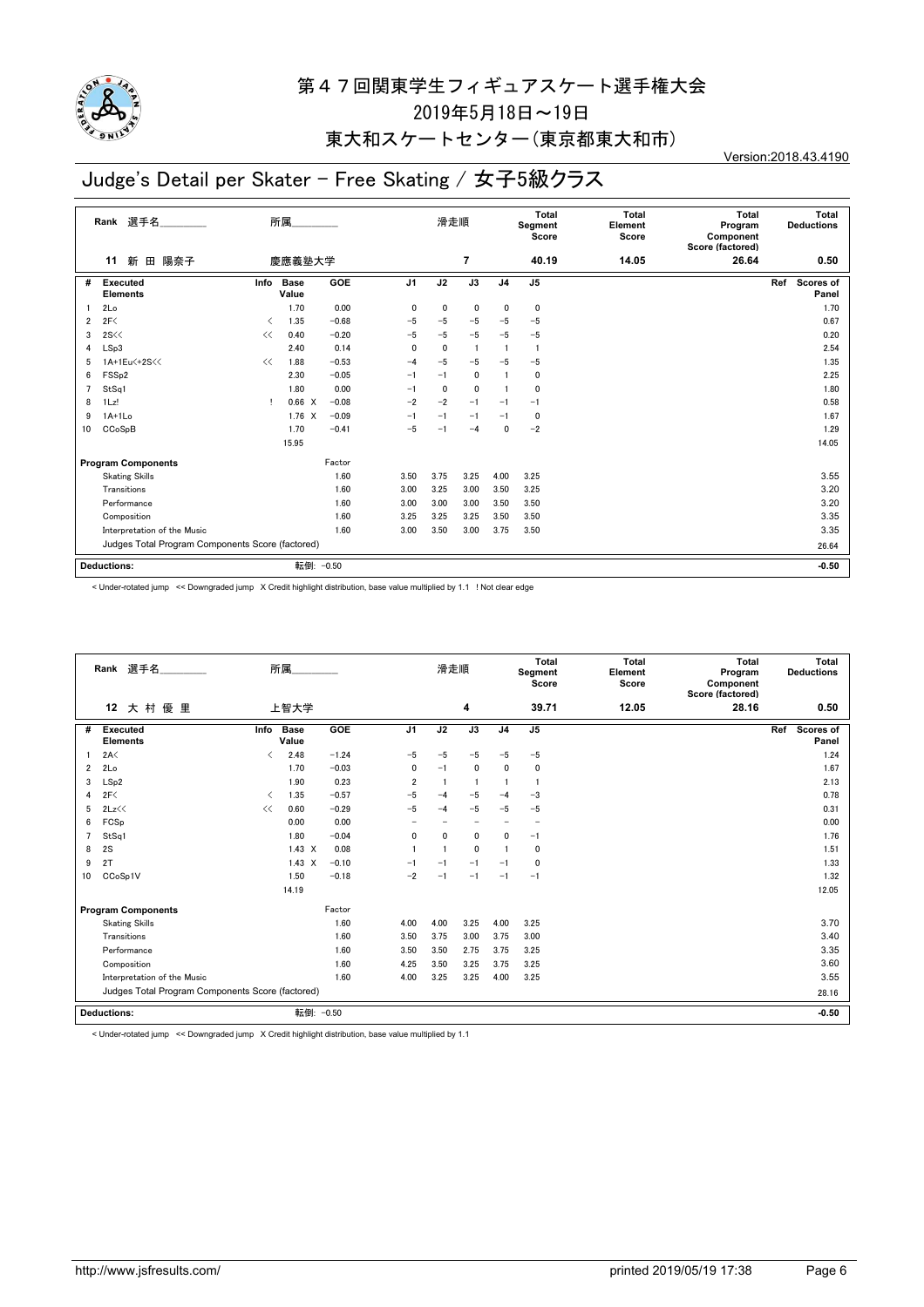

### 東大和スケートセンター(東京都東大和市)

# Judge's Detail per Skater - Free Skating / 女子5級クラス

Version:2018.43.4190

|    | 選手名<br>所属<br>Rank<br>新<br>陽奈子<br>田<br>慶應義塾大学<br>11 |      |                      |         |                | 滑走順          |                |                | Total<br>Segment<br>Score | <b>Total</b><br>Element<br>Score | Total<br>Program<br>Component<br>Score (factored) | <b>Total</b><br><b>Deductions</b> |
|----|----------------------------------------------------|------|----------------------|---------|----------------|--------------|----------------|----------------|---------------------------|----------------------------------|---------------------------------------------------|-----------------------------------|
|    |                                                    |      |                      |         |                |              | 7              |                | 40.19                     | 14.05                            | 26.64                                             | 0.50                              |
| #  | <b>Executed</b><br><b>Elements</b>                 | Info | <b>Base</b><br>Value | GOE     | J <sub>1</sub> | J2           | J3             | J <sub>4</sub> | J <sub>5</sub>            |                                  |                                                   | Scores of<br>Ref<br>Panel         |
|    | 2Lo                                                |      | 1.70                 | 0.00    | 0              | 0            | $\mathbf 0$    | 0              | $\mathbf 0$               |                                  |                                                   | 1.70                              |
| 2  | 2F<                                                | ≺    | 1.35                 | $-0.68$ | $-5$           | $-5$         | $-5$           | $-5$           | $-5$                      |                                  |                                                   | 0.67                              |
| 3  | 2S <                                               | <<   | 0.40                 | $-0.20$ | $-5$           | $-5$         | $-5$           | $-5$           | $-5$                      |                                  |                                                   | 0.20                              |
| 4  | LSp3                                               |      | 2.40                 | 0.14    | $\mathbf{0}$   | $\mathbf{0}$ | $\overline{1}$ |                | -1                        |                                  |                                                   | 2.54                              |
| 5  | 1A+1Eu<+2S<<                                       | <<   | 1.88                 | $-0.53$ | $-4$           | $-5$         | $-5$           | $-5$           | $-5$                      |                                  |                                                   | 1.35                              |
| 6  | FSS <sub>p2</sub>                                  |      | 2.30                 | $-0.05$ | $-1$           | $-1$         | $\mathbf 0$    |                | $\mathbf 0$               |                                  |                                                   | 2.25                              |
| 7  | StSq1                                              |      | 1.80                 | 0.00    | $-1$           | 0            | $\mathbf 0$    |                | $\mathbf 0$               |                                  |                                                   | 1.80                              |
| 8  | 1Lz!                                               |      | 0.66 X               | $-0.08$ | $-2$           | $-2$         | $-1$           | $-1$           | $-1$                      |                                  |                                                   | 0.58                              |
| 9  | $1A+1Lo$                                           |      | $1.76 \times$        | $-0.09$ | $-1$           | $-1$         | $-1$           | $-1$           | $\mathbf 0$               |                                  |                                                   | 1.67                              |
| 10 | CCoSpB                                             |      | 1.70                 | $-0.41$ | $-5$           | $-1$         | $-4$           | 0              | $-2$                      |                                  |                                                   | 1.29                              |
|    |                                                    |      | 15.95                |         |                |              |                |                |                           |                                  |                                                   | 14.05                             |
|    | <b>Program Components</b>                          |      |                      | Factor  |                |              |                |                |                           |                                  |                                                   |                                   |
|    | <b>Skating Skills</b>                              |      |                      | 1.60    | 3.50           | 3.75         | 3.25           | 4.00           | 3.25                      |                                  |                                                   | 3.55                              |
|    | Transitions                                        |      |                      | 1.60    | 3.00           | 3.25         | 3.00           | 3.50           | 3.25                      |                                  |                                                   | 3.20                              |
|    | Performance                                        |      |                      | 1.60    | 3.00           | 3.00         | 3.00           | 3.50           | 3.50                      |                                  |                                                   | 3.20                              |
|    | Composition                                        |      |                      | 1.60    | 3.25           | 3.25         | 3.25           | 3.50           | 3.50                      |                                  |                                                   | 3.35                              |
|    | Interpretation of the Music                        |      |                      | 1.60    | 3.00           | 3.50         | 3.00           | 3.75           | 3.50                      |                                  |                                                   | 3.35                              |
|    | Judges Total Program Components Score (factored)   |      |                      |         |                |              |                |                |                           | 26.64                            |                                                   |                                   |
|    | <b>Deductions:</b>                                 |      | 転倒: -0.50            |         |                |              |                |                |                           |                                  |                                                   | $-0.50$                           |

< Under-rotated jump << Downgraded jump X Credit highlight distribution, base value multiplied by 1.1 ! Not clear edge

|                | 選手名<br>Rank                                      |                               | 所属                   |         |                          | 滑走順          |                          |                | <b>Total</b><br>Segment<br>Score | <b>Total</b><br>Element<br>Score | <b>Total</b><br>Program<br>Component<br>Score (factored) | Total<br><b>Deductions</b> |
|----------------|--------------------------------------------------|-------------------------------|----------------------|---------|--------------------------|--------------|--------------------------|----------------|----------------------------------|----------------------------------|----------------------------------------------------------|----------------------------|
|                | 大村優里<br>12                                       |                               | 上智大学                 |         |                          |              | 4                        |                | 39.71                            | 12.05                            | 28.16                                                    | 0.50                       |
| #              | Executed<br><b>Elements</b>                      | Info                          | <b>Base</b><br>Value | GOE     | J <sub>1</sub>           | J2           | J3                       | J <sub>4</sub> | J <sub>5</sub>                   |                                  |                                                          | Scores of<br>Ref<br>Panel  |
|                | 2A<                                              | $\langle$                     | 2.48                 | $-1.24$ | $-5$                     | $-5$         | $-5$                     | $-5$           | $-5$                             |                                  |                                                          | 1.24                       |
| $\overline{2}$ | 2Lo                                              |                               | 1.70                 | $-0.03$ | 0                        | $-1$         | $\mathbf 0$              | $\mathbf 0$    | 0                                |                                  |                                                          | 1.67                       |
| 3              | LSp2                                             |                               | 1.90                 | 0.23    | $\overline{2}$           | -1           | $\mathbf{1}$             |                | $\mathbf{1}$                     |                                  |                                                          | 2.13                       |
| 4              | 2F<                                              | $\overline{\left( \right. }%$ | 1.35                 | $-0.57$ | $-5$                     | $-4$         | $-5$                     | $-4$           | $-3$                             |                                  |                                                          | 0.78                       |
| 5              | 2Lz<<                                            | <<                            | 0.60                 | $-0.29$ | $-5$                     | $-4$         | $-5$                     | $-5$           | $-5$                             |                                  |                                                          | 0.31                       |
| 6              | FCSp                                             |                               | 0.00                 | 0.00    | $\overline{\phantom{0}}$ |              | $\overline{\phantom{0}}$ |                | $\overline{\phantom{a}}$         |                                  |                                                          | 0.00                       |
| $\overline{7}$ | StSq1                                            |                               | 1.80                 | $-0.04$ | 0                        | $\mathbf{0}$ | 0                        | $\mathbf{0}$   | $-1$                             |                                  |                                                          | 1.76                       |
| 8              | 2S                                               |                               | $1.43 \times$        | 0.08    |                          |              | 0                        |                | $\mathbf 0$                      |                                  |                                                          | 1.51                       |
| 9              | 2T                                               |                               | $1.43 \quad X$       | $-0.10$ | $-1$                     | $-1$         | $-1$                     | $-1$           | $\Omega$                         |                                  |                                                          | 1.33                       |
| 10             | CCoSp1V                                          |                               | 1.50                 | $-0.18$ | $-2$                     | $-1$         | $-1$                     | $-1$           | $-1$                             |                                  |                                                          | 1.32                       |
|                |                                                  |                               | 14.19                |         |                          |              |                          |                |                                  |                                  |                                                          | 12.05                      |
|                | <b>Program Components</b>                        |                               |                      | Factor  |                          |              |                          |                |                                  |                                  |                                                          |                            |
|                | <b>Skating Skills</b>                            |                               |                      | 1.60    | 4.00                     | 4.00         | 3.25                     | 4.00           | 3.25                             |                                  |                                                          | 3.70                       |
|                | Transitions                                      |                               |                      | 1.60    | 3.50                     | 3.75         | 3.00                     | 3.75           | 3.00                             |                                  |                                                          | 3.40                       |
|                | Performance                                      |                               |                      | 1.60    | 3.50                     | 3.50         | 2.75                     | 3.75           | 3.25                             |                                  |                                                          | 3.35                       |
|                | Composition                                      |                               |                      | 1.60    | 4.25                     | 3.50         | 3.25                     | 3.75           | 3.25                             |                                  |                                                          | 3.60                       |
|                | Interpretation of the Music                      |                               |                      | 1.60    | 4.00                     | 3.25         | 3.25                     | 4.00           | 3.25                             |                                  |                                                          | 3.55                       |
|                | Judges Total Program Components Score (factored) |                               |                      |         |                          |              |                          |                |                                  |                                  |                                                          | 28.16                      |
|                | <b>Deductions:</b>                               |                               | 転倒: - 0.50           |         |                          |              |                          |                |                                  |                                  |                                                          | $-0.50$                    |

< Under-rotated jump << Downgraded jump X Credit highlight distribution, base value multiplied by 1.1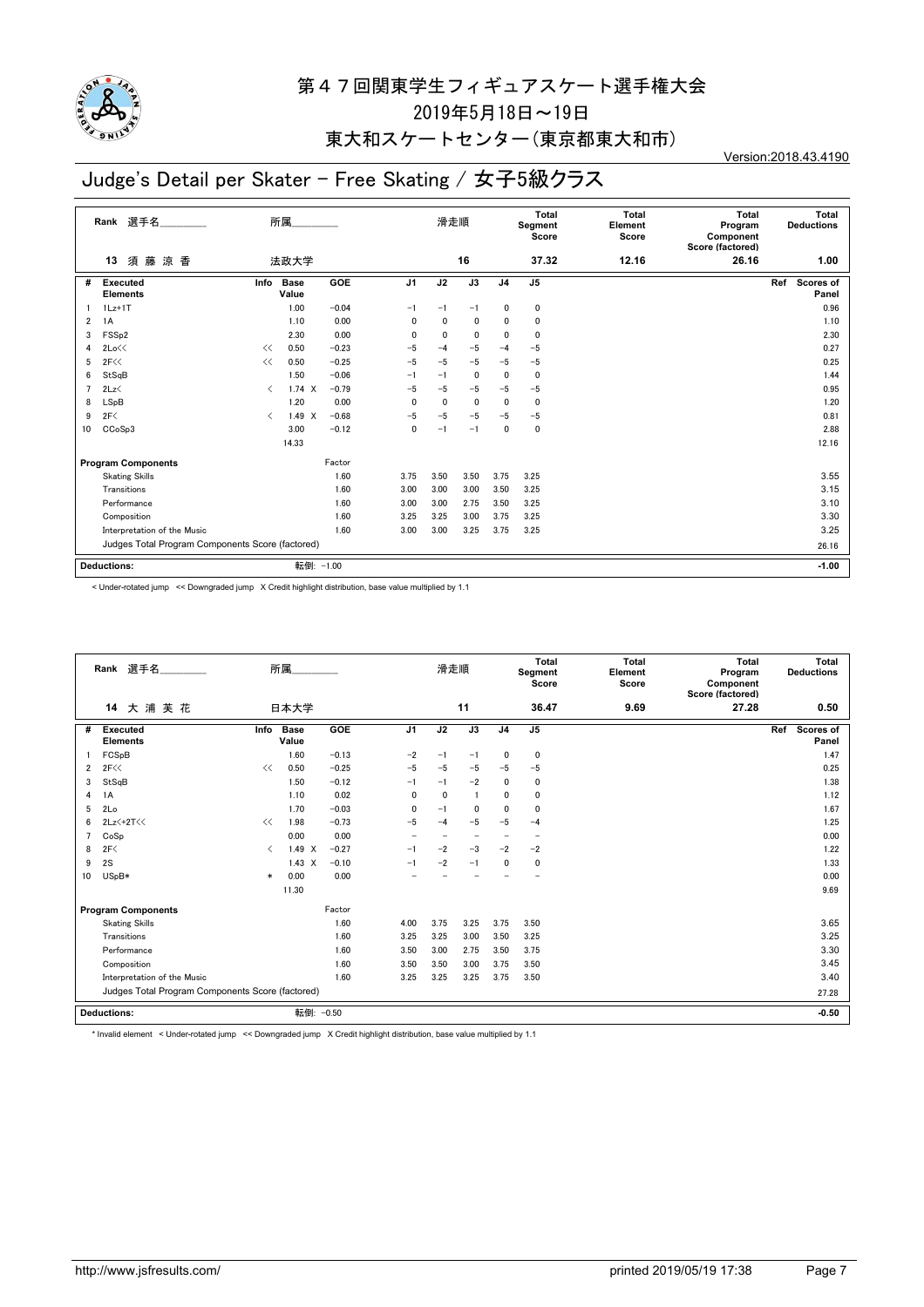

### 東大和スケートセンター(東京都東大和市)

# Judge's Detail per Skater - Free Skating / 女子5級クラス

Version:2018.43.4190

|                | 選手名<br>Rank                                      | 所属                            |                      |            |                | 滑走順  |             | Total<br>Segment<br>Score |                | <b>Total</b><br>Element<br>Score | <b>Total</b><br>Program<br>Component<br>Score (factored) | Total<br><b>Deductions</b>       |
|----------------|--------------------------------------------------|-------------------------------|----------------------|------------|----------------|------|-------------|---------------------------|----------------|----------------------------------|----------------------------------------------------------|----------------------------------|
|                | 須藤<br>涼 香<br>13                                  |                               | 法政大学                 |            |                |      | 16          |                           | 37.32          | 12.16                            | 26.16                                                    | 1.00                             |
| #              | Executed<br><b>Elements</b>                      | Info                          | <b>Base</b><br>Value | <b>GOE</b> | J <sub>1</sub> | J2   | J3          | J <sub>4</sub>            | J <sub>5</sub> |                                  |                                                          | Ref<br><b>Scores of</b><br>Panel |
|                | $1Lz+1T$                                         |                               | 1.00                 | $-0.04$    | $-1$           | $-1$ | $-1$        | 0                         | 0              |                                  |                                                          | 0.96                             |
| $\overline{2}$ | 1A                                               |                               | 1.10                 | 0.00       | 0              | 0    | 0           | 0                         | $\mathbf{0}$   |                                  |                                                          | 1.10                             |
| 3              | FSS <sub>p2</sub>                                |                               | 2.30                 | 0.00       | 0              | 0    | 0           | $\mathbf{0}$              | $\mathbf{0}$   |                                  |                                                          | 2.30                             |
| 4              | 2Lo<<                                            | <<                            | 0.50                 | $-0.23$    | $-5$           | $-4$ | $-5$        | $-4$                      | $-5$           |                                  |                                                          | 0.27                             |
| 5              | 2F<<                                             | <<                            | 0.50                 | $-0.25$    | $-5$           | $-5$ | $-5$        | $-5$                      | $-5$           |                                  |                                                          | 0.25                             |
| 6              | StSqB                                            |                               | 1.50                 | $-0.06$    | $-1$           | $-1$ | $\mathbf 0$ | $\mathbf{0}$              | 0              |                                  |                                                          | 1.44                             |
| $\overline{7}$ | 2Lz                                              | $\overline{\left( \right. }%$ | $1.74 \times$        | $-0.79$    | $-5$           | $-5$ | -5          | $-5$                      | $-5$           |                                  |                                                          | 0.95                             |
| 8              | LSpB                                             |                               | 1.20                 | 0.00       | 0              | 0    | $\mathbf 0$ | 0                         | 0              |                                  |                                                          | 1.20                             |
| 9              | 2F<                                              | $\langle$                     | $1.49 \times$        | $-0.68$    | $-5$           | $-5$ | $-5$        | $-5$                      | $-5$           |                                  |                                                          | 0.81                             |
| 10             | CCoSp3                                           |                               | 3.00                 | $-0.12$    | 0              | $-1$ | $-1$        | 0                         | 0              |                                  |                                                          | 2.88                             |
|                |                                                  |                               | 14.33                |            |                |      |             |                           |                |                                  |                                                          | 12.16                            |
|                | <b>Program Components</b>                        |                               |                      | Factor     |                |      |             |                           |                |                                  |                                                          |                                  |
|                | <b>Skating Skills</b>                            |                               |                      | 1.60       | 3.75           | 3.50 | 3.50        | 3.75                      | 3.25           |                                  |                                                          | 3.55                             |
|                | Transitions                                      |                               |                      | 1.60       | 3.00           | 3.00 | 3.00        | 3.50                      | 3.25           |                                  |                                                          | 3.15                             |
|                | Performance                                      |                               |                      | 1.60       | 3.00           | 3.00 | 2.75        | 3.50                      | 3.25           |                                  |                                                          | 3.10                             |
|                | Composition                                      |                               |                      | 1.60       | 3.25           | 3.25 | 3.00        | 3.75                      | 3.25           |                                  |                                                          | 3.30                             |
|                | Interpretation of the Music                      |                               |                      | 1.60       | 3.00           | 3.00 | 3.25        | 3.75                      | 3.25           |                                  |                                                          | 3.25                             |
|                | Judges Total Program Components Score (factored) |                               |                      |            |                |      |             |                           |                |                                  |                                                          | 26.16                            |
|                | <b>Deductions:</b>                               |                               | 転倒: -1.00            |            |                |      |             |                           |                |                                  |                                                          | $-1.00$                          |

< Under-rotated jump << Downgraded jump X Credit highlight distribution, base value multiplied by 1.1

| Rank 選手名       |                                                  | 所属                                       |                      |            |                | 滑走順          |                          |                | <b>Total</b><br>Segment<br>Score | <b>Total</b><br>Element<br>Score | <b>Total</b><br>Program<br>Component<br>Score (factored) | Total<br><b>Deductions</b> |
|----------------|--------------------------------------------------|------------------------------------------|----------------------|------------|----------------|--------------|--------------------------|----------------|----------------------------------|----------------------------------|----------------------------------------------------------|----------------------------|
|                | 大浦芙花<br>14                                       |                                          | 日本大学                 |            |                |              | 11                       |                | 36.47                            | 9.69                             | 27.28                                                    | 0.50                       |
| #              | <b>Executed</b><br><b>Elements</b>               | Info                                     | <b>Base</b><br>Value | <b>GOE</b> | J <sub>1</sub> | J2           | J3                       | J <sub>4</sub> | J <sub>5</sub>                   |                                  |                                                          | Scores of<br>Ref<br>Panel  |
|                | FCSpB                                            |                                          | 1.60                 | $-0.13$    | $-2$           | $-1$         | $-1$                     | 0              | 0                                |                                  |                                                          | 1.47                       |
| $\overline{2}$ | 2F<<                                             | <<                                       | 0.50                 | $-0.25$    | $-5$           | $-5$         | $-5$                     | $-5$           | $-5$                             |                                  |                                                          | 0.25                       |
| 3              | StSqB                                            |                                          | 1.50                 | $-0.12$    | $-1$           | $-1$         | $-2$                     | $\mathbf{0}$   | 0                                |                                  |                                                          | 1.38                       |
| 4              | 1A                                               |                                          | 1.10                 | 0.02       | 0              | $\mathbf{0}$ | -1                       | $\mathbf{0}$   | 0                                |                                  |                                                          | 1.12                       |
| 5              | 2Lo                                              |                                          | 1.70                 | $-0.03$    | 0              | $-1$         | 0                        | $\Omega$       | $\mathbf 0$                      |                                  |                                                          | 1.67                       |
| 6              | 2Lz <+2T <<                                      | <<                                       | 1.98                 | $-0.73$    | $-5$           | $-4$         | $-5$                     | $-5$           | $-4$                             |                                  |                                                          | 1.25                       |
| $\overline{7}$ | CoSp                                             |                                          | 0.00                 | 0.00       |                |              | $\overline{\phantom{0}}$ |                | $\overline{\phantom{0}}$         |                                  |                                                          | 0.00                       |
| 8              | 2F<                                              | $\overline{\left\langle \right\rangle }$ | 1.49 X               | $-0.27$    | $-1$           | $-2$         | $-3$                     | $-2$           | $-2$                             |                                  |                                                          | 1.22                       |
| 9              | 2S                                               |                                          | $1.43 \times$        | $-0.10$    | $-1$           | $-2$         | $-1$                     | 0              | 0                                |                                  |                                                          | 1.33                       |
| 10             | USpB*                                            | $\ast$                                   | 0.00                 | 0.00       |                |              |                          |                |                                  |                                  |                                                          | 0.00                       |
|                |                                                  |                                          | 11.30                |            |                |              |                          |                |                                  |                                  |                                                          | 9.69                       |
|                | <b>Program Components</b>                        |                                          |                      | Factor     |                |              |                          |                |                                  |                                  |                                                          |                            |
|                | <b>Skating Skills</b>                            |                                          |                      | 1.60       | 4.00           | 3.75         | 3.25                     | 3.75           | 3.50                             |                                  |                                                          | 3.65                       |
|                | Transitions                                      |                                          |                      | 1.60       | 3.25           | 3.25         | 3.00                     | 3.50           | 3.25                             |                                  |                                                          | 3.25                       |
|                | Performance                                      |                                          |                      | 1.60       | 3.50           | 3.00         | 2.75                     | 3.50           | 3.75                             |                                  |                                                          | 3.30                       |
|                | Composition                                      |                                          |                      | 1.60       | 3.50           | 3.50         | 3.00                     | 3.75           | 3.50                             |                                  |                                                          | 3.45                       |
|                | Interpretation of the Music                      |                                          |                      | 1.60       | 3.25           | 3.25         | 3.25                     | 3.75           | 3.50                             |                                  |                                                          | 3.40                       |
|                | Judges Total Program Components Score (factored) |                                          |                      |            |                |              |                          |                |                                  |                                  |                                                          | 27.28                      |
|                | <b>Deductions:</b>                               |                                          | 転倒: -0.50            |            |                |              |                          |                |                                  |                                  |                                                          | $-0.50$                    |

\* Invalid element < Under-rotated jump << Downgraded jump X Credit highlight distribution, base value multiplied by 1.1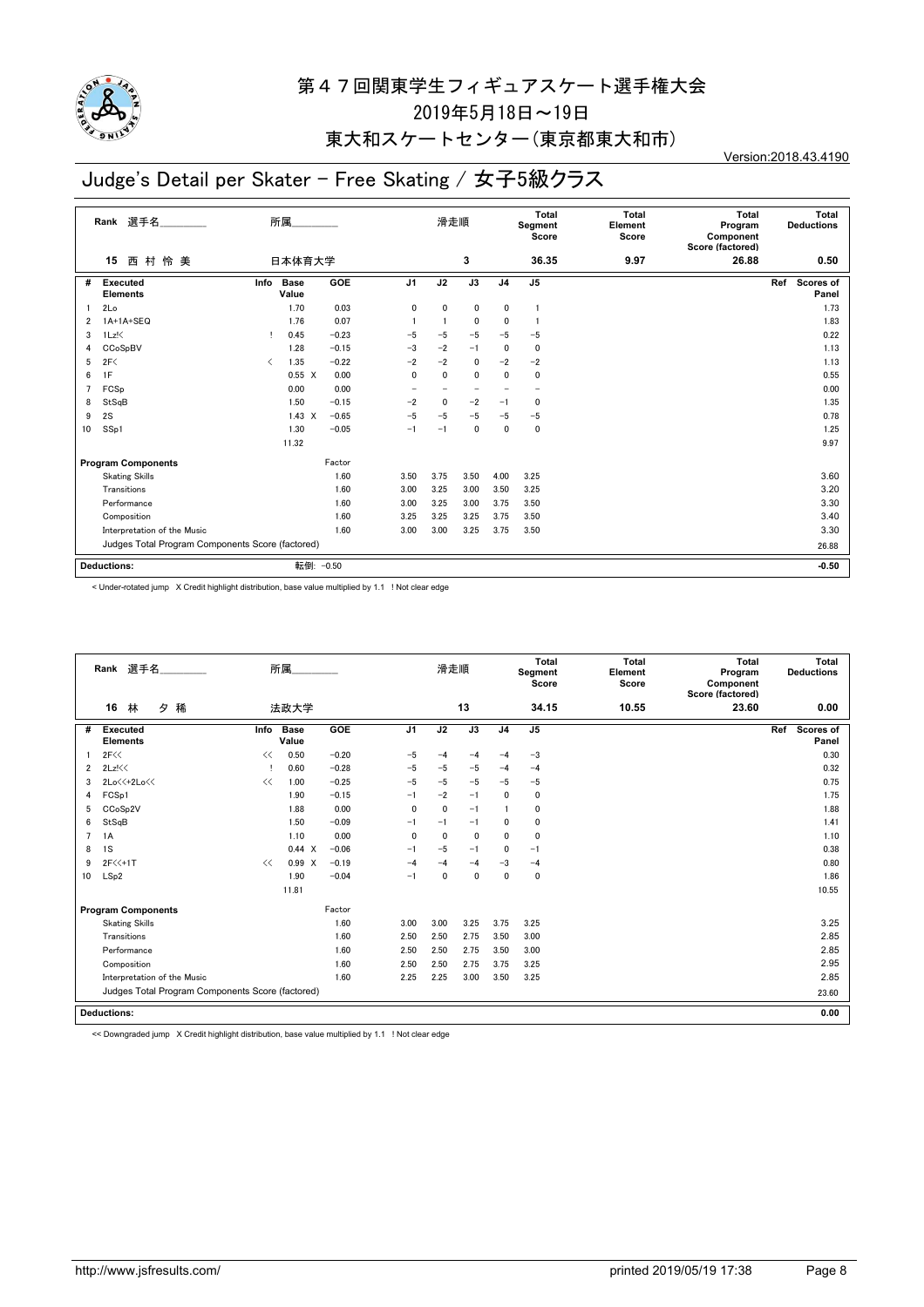

## 東大和スケートセンター(東京都東大和市)

# Judge's Detail per Skater - Free Skating / 女子5級クラス

Version:2018.43.4190

|                | 選手名<br>Rank                                      |           | 所属             |         | 滑走順             |              | <b>Total</b><br>Segment<br>Score |                | <b>Total</b><br>Element<br>Score | <b>Total</b><br>Program<br>Component<br>Score (factored) | Total<br><b>Deductions</b> |                           |
|----------------|--------------------------------------------------|-----------|----------------|---------|-----------------|--------------|----------------------------------|----------------|----------------------------------|----------------------------------------------------------|----------------------------|---------------------------|
|                | 村 怜 美<br>西<br>15                                 |           | 日本体育大学         |         |                 |              | 3                                |                | 36.35                            | 9.97                                                     | 26.88                      | 0.50                      |
| #              | <b>Executed</b><br><b>Elements</b>               | Info      | Base<br>Value  | GOE     | J <sub>1</sub>  | J2           | J3                               | J <sub>4</sub> | J <sub>5</sub>                   |                                                          |                            | Ref<br>Scores of<br>Panel |
|                | 2Lo                                              |           | 1.70           | 0.03    | $\mathbf 0$     | 0            | 0                                | 0              | $\mathbf{1}$                     |                                                          |                            | 1.73                      |
| 2              | 1A+1A+SEQ                                        |           | 1.76           | 0.07    |                 |              | 0                                | $\Omega$       | $\mathbf{1}$                     |                                                          |                            | 1.83                      |
| 3              | $1Lz$ !                                          | т         | 0.45           | $-0.23$ | $-5$            | $-5$         | $-5$                             | $-5$           | $-5$                             |                                                          |                            | 0.22                      |
| 4              | CCoSpBV                                          |           | 1.28           | $-0.15$ | $-3$            | $-2$         | $-1$                             | $\mathbf{0}$   | 0                                |                                                          |                            | 1.13                      |
| 5              | 2F<                                              | $\langle$ | 1.35           | $-0.22$ | $-2$            | $-2$         | 0                                | $-2$           | $-2$                             |                                                          |                            | 1.13                      |
| 6              | 1F                                               |           | $0.55 \quad X$ | 0.00    | $\mathbf 0$     | $\mathbf{0}$ | 0                                | $\mathbf{0}$   | 0                                |                                                          |                            | 0.55                      |
| $\overline{7}$ | FCSp                                             |           | 0.00           | 0.00    | $\qquad \qquad$ |              | $\overline{\phantom{0}}$         |                | $\overline{\phantom{m}}$         |                                                          |                            | 0.00                      |
| 8              | StSqB                                            |           | 1.50           | $-0.15$ | $-2$            | 0            | $-2$                             | $-1$           | 0                                |                                                          |                            | 1.35                      |
| 9              | 2S                                               |           | $1.43 \times$  | $-0.65$ | $-5$            | $-5$         | $-5$                             | $-5$           | $-5$                             |                                                          |                            | 0.78                      |
| 10             | SS <sub>p1</sub>                                 |           | 1.30           | $-0.05$ | $-1$            | $-1$         | 0                                | 0              | 0                                |                                                          |                            | 1.25                      |
|                |                                                  |           | 11.32          |         |                 |              |                                  |                |                                  |                                                          |                            | 9.97                      |
|                | <b>Program Components</b>                        |           |                | Factor  |                 |              |                                  |                |                                  |                                                          |                            |                           |
|                | <b>Skating Skills</b>                            |           |                | 1.60    | 3.50            | 3.75         | 3.50                             | 4.00           | 3.25                             |                                                          |                            | 3.60                      |
|                | Transitions                                      |           |                | 1.60    | 3.00            | 3.25         | 3.00                             | 3.50           | 3.25                             |                                                          |                            | 3.20                      |
|                | Performance                                      |           |                | 1.60    | 3.00            | 3.25         | 3.00                             | 3.75           | 3.50                             |                                                          |                            | 3.30                      |
|                | Composition                                      |           |                | 1.60    | 3.25            | 3.25         | 3.25                             | 3.75           | 3.50                             |                                                          |                            | 3.40                      |
|                | Interpretation of the Music                      |           |                | 1.60    | 3.00            | 3.00         | 3.25                             | 3.75           | 3.50                             |                                                          |                            | 3.30                      |
|                | Judges Total Program Components Score (factored) |           |                |         |                 |              |                                  |                |                                  |                                                          |                            | 26.88                     |
|                | <b>Deductions:</b>                               |           | 転倒: - 0.50     |         |                 |              |                                  |                |                                  |                                                          |                            | $-0.50$                   |

< Under-rotated jump X Credit highlight distribution, base value multiplied by 1.1 ! Not clear edge

|                | Rank 選手名                                         | 所属   |                      |         |                | 滑走順          |              | Total<br>Segment<br>Score |                | <b>Total</b><br>Element<br>Score | Total<br>Program<br>Component<br>Score (factored) | Total<br><b>Deductions</b> |
|----------------|--------------------------------------------------|------|----------------------|---------|----------------|--------------|--------------|---------------------------|----------------|----------------------------------|---------------------------------------------------|----------------------------|
|                | 林<br>16<br>タ<br>稀                                |      | 法政大学                 |         |                |              | 13           |                           | 34.15          | 10.55                            | 23.60                                             | 0.00                       |
| #              | <b>Executed</b><br><b>Elements</b>               | Info | <b>Base</b><br>Value | GOE     | J <sub>1</sub> | J2           | J3           | J <sub>4</sub>            | J <sub>5</sub> |                                  |                                                   | Scores of<br>Ref<br>Panel  |
|                | 2F<<                                             | <<   | 0.50                 | $-0.20$ | $-5$           | $-4$         | $-4$         | $-4$                      | $-3$           |                                  |                                                   | 0.30                       |
| $\overline{2}$ | 2Lz!<<                                           |      | 0.60                 | $-0.28$ | $-5$           | $-5$         | $-5$         | $-4$                      | $-4$           |                                  |                                                   | 0.32                       |
| 3              | 2Lo<<+2Lo<<                                      | <<   | 1.00                 | $-0.25$ | $-5$           | $-5$         | $-5$         | $-5$                      | $-5$           |                                  |                                                   | 0.75                       |
| 4              | FCSp1                                            |      | 1.90                 | $-0.15$ | $-1$           | $-2$         | $-1$         | 0                         | 0              |                                  |                                                   | 1.75                       |
| 5              | CCoSp2V                                          |      | 1.88                 | 0.00    | $\mathbf{0}$   | $\mathbf{0}$ | $-1$         |                           | $\mathbf 0$    |                                  |                                                   | 1.88                       |
| 6              | StSqB                                            |      | 1.50                 | $-0.09$ | $-1$           | $-1$         | $-1$         | 0                         | 0              |                                  |                                                   | 1.41                       |
| 7              | 1A                                               |      | 1.10                 | 0.00    | $\mathbf{0}$   | $\mathbf{0}$ | $\mathbf{0}$ | 0                         | $\mathbf 0$    |                                  |                                                   | 1.10                       |
| 8              | 1S                                               |      | 0.44 X               | $-0.06$ | $-1$           | $-5$         | $-1$         | 0                         | $-1$           |                                  |                                                   | 0.38                       |
| 9              | $2F<<+1T$                                        | <<   | 0.99 X               | $-0.19$ | $-4$           | $-4$         | $-4$         | $-3$                      | $-4$           |                                  |                                                   | 0.80                       |
| 10             | LSp2                                             |      | 1.90                 | $-0.04$ | $-1$           | 0            | 0            | 0                         | $\mathbf 0$    |                                  |                                                   | 1.86                       |
|                |                                                  |      | 11.81                |         |                |              |              |                           |                |                                  |                                                   | 10.55                      |
|                | <b>Program Components</b>                        |      |                      | Factor  |                |              |              |                           |                |                                  |                                                   |                            |
|                | <b>Skating Skills</b>                            |      |                      | 1.60    | 3.00           | 3.00         | 3.25         | 3.75                      | 3.25           |                                  |                                                   | 3.25                       |
|                | Transitions                                      |      |                      | 1.60    | 2.50           | 2.50         | 2.75         | 3.50                      | 3.00           |                                  |                                                   | 2.85                       |
|                | Performance                                      |      |                      | 1.60    | 2.50           | 2.50         | 2.75         | 3.50                      | 3.00           |                                  |                                                   | 2.85                       |
|                | Composition                                      |      |                      | 1.60    | 2.50           | 2.50         | 2.75         | 3.75                      | 3.25           |                                  |                                                   | 2.95                       |
|                | Interpretation of the Music                      |      |                      | 1.60    | 2.25           | 2.25         | 3.00         | 3.50                      | 3.25           |                                  |                                                   | 2.85                       |
|                | Judges Total Program Components Score (factored) |      |                      |         |                |              |              |                           |                |                                  |                                                   | 23.60                      |
|                | <b>Deductions:</b>                               |      |                      |         |                |              |              |                           |                |                                  |                                                   | 0.00                       |

<< Downgraded jump X Credit highlight distribution, base value multiplied by 1.1 ! Not clear edge